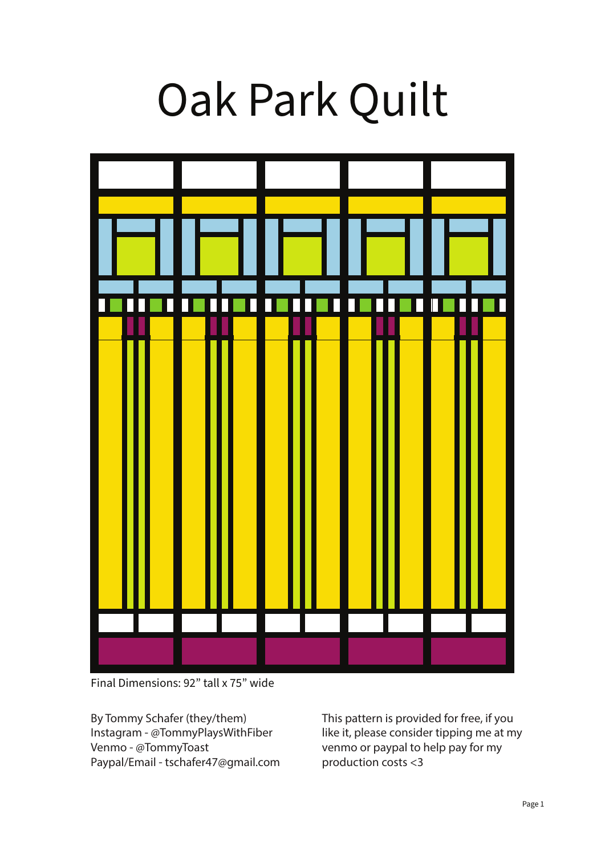# Oak Park Quilt



Final Dimensions: 92" tall x 75" wide

By Tommy Schafer (they/them) Instagram - @TommyPlaysWithFiber Venmo - @TommyToast Paypal/Email - tschafer47@gmail.com This pattern is provided for free, if you like it, please consider tipping me at my venmo or paypal to help pay for my production costs <3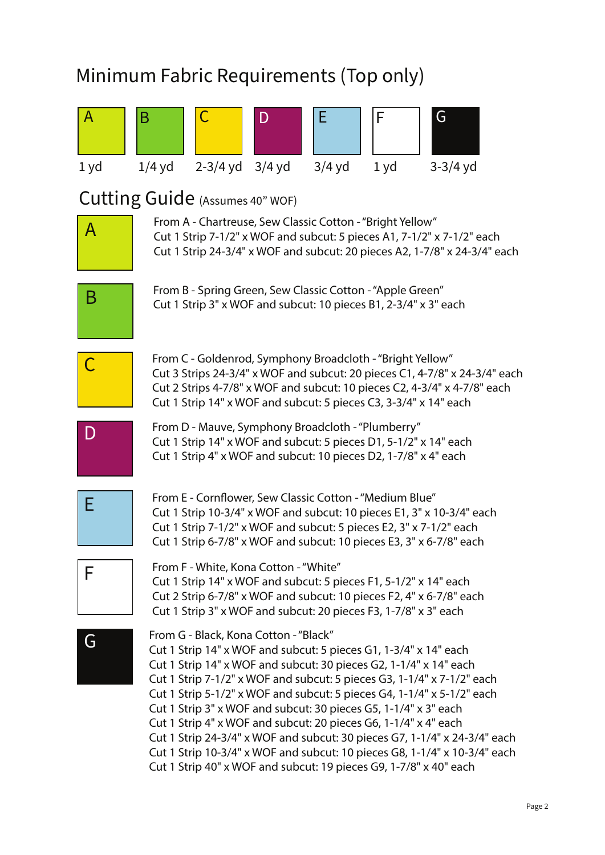### Minimum Fabric Requirements (Top only)

| A    | Β                                                                                                                                                                                                                                                                                                                                                                                                                                                                                                                                                                                                                                                                                                       |                                                                                                                                                                                                                                                                               | D | E        | F    | G          |  |
|------|---------------------------------------------------------------------------------------------------------------------------------------------------------------------------------------------------------------------------------------------------------------------------------------------------------------------------------------------------------------------------------------------------------------------------------------------------------------------------------------------------------------------------------------------------------------------------------------------------------------------------------------------------------------------------------------------------------|-------------------------------------------------------------------------------------------------------------------------------------------------------------------------------------------------------------------------------------------------------------------------------|---|----------|------|------------|--|
| 1 yd | $1/4$ yd                                                                                                                                                                                                                                                                                                                                                                                                                                                                                                                                                                                                                                                                                                | $2-3/4$ yd $3/4$ yd                                                                                                                                                                                                                                                           |   | $3/4$ yd | 1 yd | $3-3/4$ yd |  |
|      |                                                                                                                                                                                                                                                                                                                                                                                                                                                                                                                                                                                                                                                                                                         | Cutting Guide (Assumes 40" WOF)                                                                                                                                                                                                                                               |   |          |      |            |  |
| A    |                                                                                                                                                                                                                                                                                                                                                                                                                                                                                                                                                                                                                                                                                                         | From A - Chartreuse, Sew Classic Cotton - "Bright Yellow"<br>Cut 1 Strip 7-1/2" x WOF and subcut: 5 pieces A1, 7-1/2" x 7-1/2" each<br>Cut 1 Strip 24-3/4" x WOF and subcut: 20 pieces A2, 1-7/8" x 24-3/4" each                                                              |   |          |      |            |  |
| B    | From B - Spring Green, Sew Classic Cotton - "Apple Green"<br>Cut 1 Strip 3" x WOF and subcut: 10 pieces B1, 2-3/4" x 3" each                                                                                                                                                                                                                                                                                                                                                                                                                                                                                                                                                                            |                                                                                                                                                                                                                                                                               |   |          |      |            |  |
|      | From C - Goldenrod, Symphony Broadcloth - "Bright Yellow"<br>Cut 3 Strips 24-3/4" x WOF and subcut: 20 pieces C1, 4-7/8" x 24-3/4" each<br>Cut 2 Strips 4-7/8" x WOF and subcut: 10 pieces C2, 4-3/4" x 4-7/8" each<br>Cut 1 Strip 14" x WOF and subcut: 5 pieces C3, 3-3/4" x 14" each                                                                                                                                                                                                                                                                                                                                                                                                                 |                                                                                                                                                                                                                                                                               |   |          |      |            |  |
|      |                                                                                                                                                                                                                                                                                                                                                                                                                                                                                                                                                                                                                                                                                                         | From D - Mauve, Symphony Broadcloth - "Plumberry"<br>Cut 1 Strip 14" x WOF and subcut: 5 pieces D1, 5-1/2" x 14" each<br>Cut 1 Strip 4" x WOF and subcut: 10 pieces D2, 1-7/8" x 4" each                                                                                      |   |          |      |            |  |
| Е    |                                                                                                                                                                                                                                                                                                                                                                                                                                                                                                                                                                                                                                                                                                         | From E - Cornflower, Sew Classic Cotton - "Medium Blue"<br>Cut 1 Strip 10-3/4" x WOF and subcut: 10 pieces E1, 3" x 10-3/4" each<br>Cut 1 Strip 7-1/2" x WOF and subcut: 5 pieces E2, 3" x 7-1/2" each<br>Cut 1 Strip 6-7/8" x WOF and subcut: 10 pieces E3, 3" x 6-7/8" each |   |          |      |            |  |
| F    |                                                                                                                                                                                                                                                                                                                                                                                                                                                                                                                                                                                                                                                                                                         | From F - White, Kona Cotton - "White"<br>Cut 1 Strip 14" x WOF and subcut: 5 pieces F1, 5-1/2" x 14" each<br>Cut 2 Strip 6-7/8" x WOF and subcut: 10 pieces F2, 4" x 6-7/8" each<br>Cut 1 Strip 3" x WOF and subcut: 20 pieces F3, 1-7/8" x 3" each                           |   |          |      |            |  |
| G    | From G - Black, Kona Cotton - "Black"<br>Cut 1 Strip 14" x WOF and subcut: 5 pieces G1, 1-3/4" x 14" each<br>Cut 1 Strip 14" x WOF and subcut: 30 pieces G2, 1-1/4" x 14" each<br>Cut 1 Strip 7-1/2" x WOF and subcut: 5 pieces G3, 1-1/4" x 7-1/2" each<br>Cut 1 Strip 5-1/2" x WOF and subcut: 5 pieces G4, 1-1/4" x 5-1/2" each<br>Cut 1 Strip 3" x WOF and subcut: 30 pieces G5, 1-1/4" x 3" each<br>Cut 1 Strip 4" x WOF and subcut: 20 pieces G6, 1-1/4" x 4" each<br>Cut 1 Strip 24-3/4" x WOF and subcut: 30 pieces G7, 1-1/4" x 24-3/4" each<br>Cut 1 Strip 10-3/4" x WOF and subcut: 10 pieces G8, 1-1/4" x 10-3/4" each<br>Cut 1 Strip 40" x WOF and subcut: 19 pieces G9, 1-7/8" x 40" each |                                                                                                                                                                                                                                                                               |   |          |      |            |  |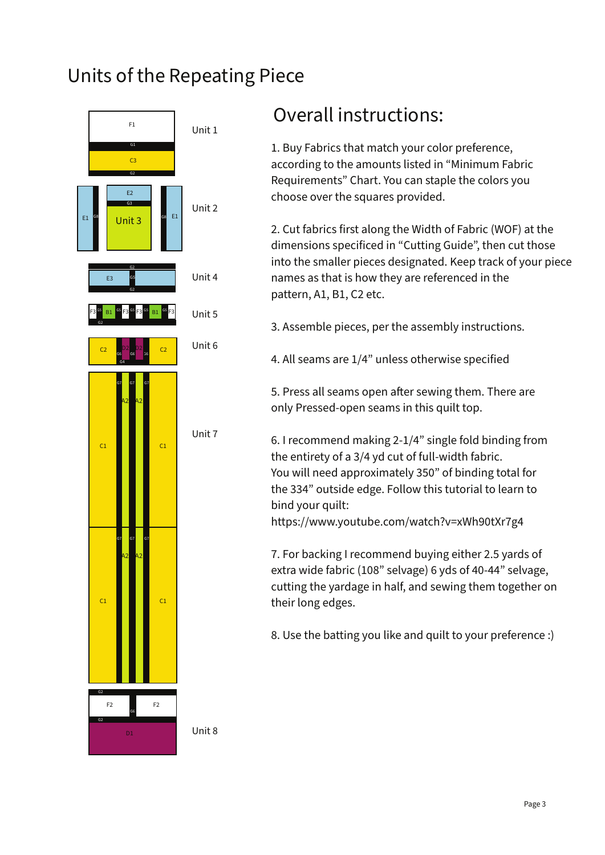#### Units of the Repeating Piece



#### Overall instructions:

1. Buy Fabrics that match your color preference, according to the amounts listed in "Minimum Fabric Requirements" Chart. You can staple the colors you choose over the squares provided.

2. Cut fabrics first along the Width of Fabric (WOF) at the dimensions specificed in "Cutting Guide", then cut those into the smaller pieces designated. Keep track of your piece names as that is how they are referenced in the pattern, A1, B1, C2 etc.

3. Assemble pieces, per the assembly instructions.

4. All seams are 1/4" unless otherwise specified

5. Press all seams open after sewing them. There are only Pressed-open seams in this quilt top.

6. I recommend making 2-1/4" single fold binding from the entirety of a 3/4 yd cut of full-width fabric. You will need approximately 350" of binding total for the 334" outside edge. Follow this tutorial to learn to bind your quilt:

https://www.youtube.com/watch?v=xWh90tXr7g4

7. For backing I recommend buying either 2.5 yards of extra wide fabric (108" selvage) 6 yds of 40-44" selvage, cutting the yardage in half, and sewing them together on their long edges.

8. Use the batting you like and quilt to your preference :)

Unit 8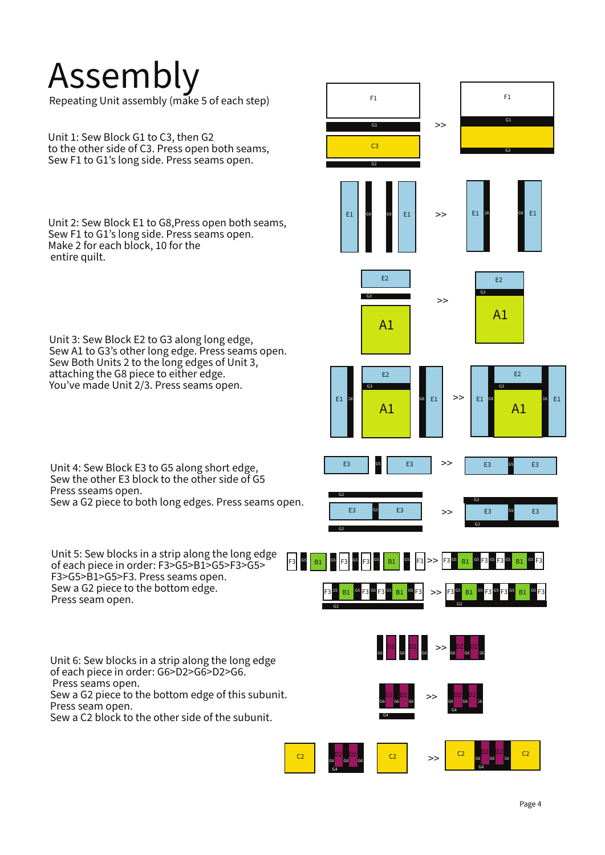### Assembly

Repeating Unit assembly (make 5 of each step)

Unit 1: Sew Block G1 to C3, then G2 to the other side of C3. Press open both seams, Sew F1 to G1's long side. Press seams open.

Unit 2: Sew Block E1 to G8,Press open both seams, Sew F1 to G1's long side. Press seams open. Make 2 for each block, 10 for the entire quilt.

Unit 3: Sew Block E2 to G3 along long edge, Sew A1 to G3's other long edge. Press seams open. Sew Both Units 2 to the long edges of Unit 3, attaching the G8 piece to either edge. You've made Unit 2/3. Press seams open.

Unit 4: Sew Block E3 to G5 along short edge, Sew the other E3 block to the other side of G5 Press sseams open. Sew a G2 piece to both long edges. Press seams open.

Unit 5: Sew blocks in a strip along the long edge of each piece in order: F3>G5>B1>G5>F3>G5> F3>G5>B1>G5>F3. Press seams open. Sew a G2 piece to the bottom edge. Press seam open.

Unit 6: Sew blocks in a strip along the long edge of each piece in order: G6>D2>G6>D2>G6. Press seams open. Sew a G2 piece to the bottom edge of this subunit. Press seam open. Sew a C2 block to the other side of the subunit.





G1

F1

G2

G1

>>

F1

C3 G2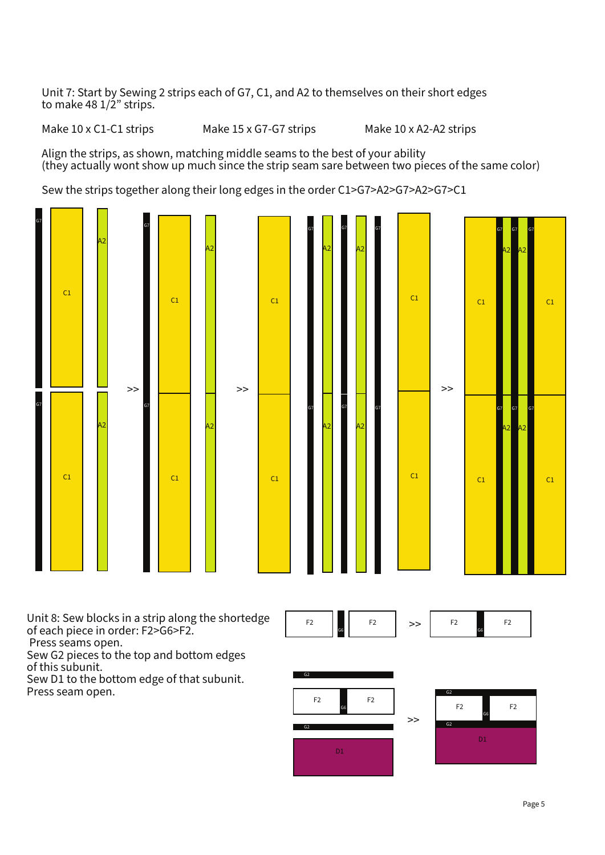Unit 7: Start by Sewing 2 strips each of G7, C1, and A2 to themselves on their short edges to make 48 1/2" strips.

Make 10 x C1-C1 strips Make 15 x G7-G7 strips Make 10 x A2-A2 strips

Align the strips, as shown, matching middle seams to the best of your ability (they actually wont show up much since the strip seam sare between two pieces of the same color)

Sew the strips together along their long edges in the order C1>G7>A2>G7>A2>G7>C1



Unit 8: Sew blocks in a strip along the shortedge of each piece in order: F2>G6>F2.

Press seams open.

Sew G2 pieces to the top and bottom edges of this subunit.

Sew D1 to the bottom edge of that subunit. Press seam open.



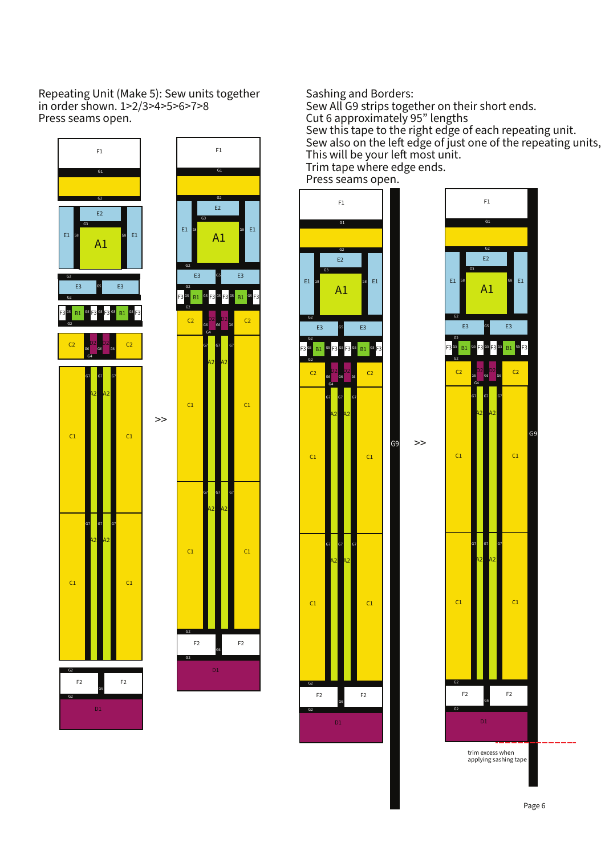Repeating Unit (Make 5): Sew units together in order shown. 1>2/3>4>5>6>7>8 Press seams open.





Sashing and Borders:

Sew All G9 strips together on their short ends. Cut 6 approximately 95" lengths Sew this tape to the right edge of each repeating unit. Sew also on the left edge of just one of the repeating units, This will be your left most unit. Trim tape where edge ends.

Press seams open.



 $\gt$ 

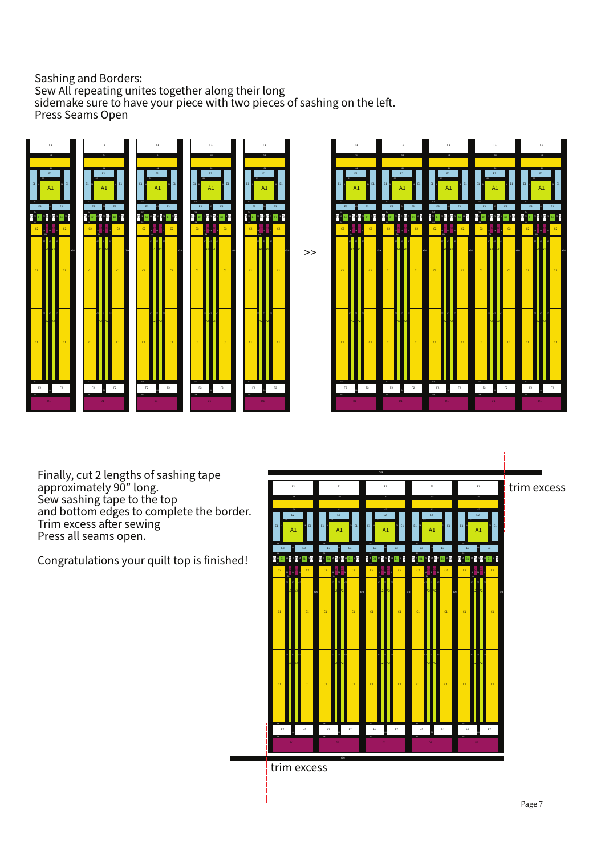#### Sashing and Borders: Sew All repeating unites together along their long sidemake sure to have your piece with two pieces of sashing on the left. Press Seams Open





Finally, cut 2 lengths of sashing tape approximately 90" long. Sew sashing tape to the top and bottom edges to complete the border. Trim excess after sewing Press all seams open.

Congratulations your quilt top is finished!



trim excess